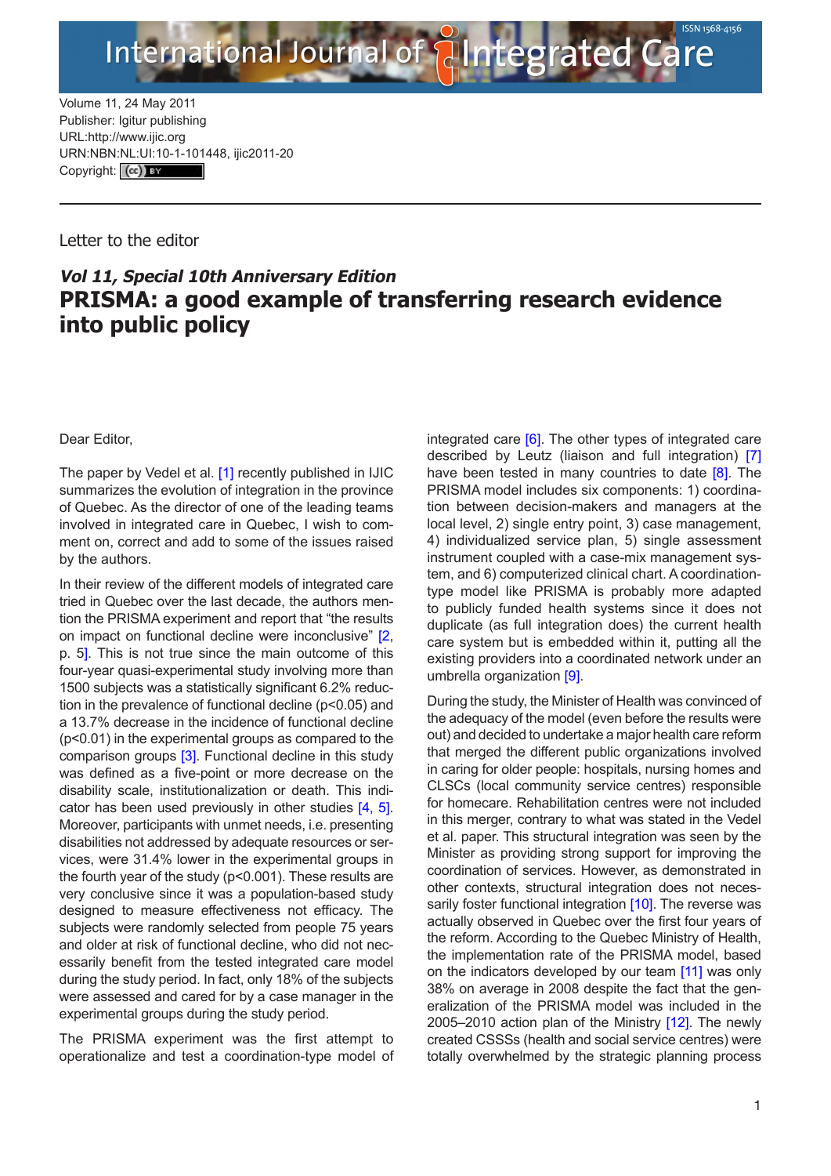

Volume 11, 24 May 2011 Publisher: Igitur publishing URL[:http://www.ijic.org](http://www.ijic.org) URN:NBN[:NL:UI:10-1-1014](http://creativecommons.org/licenses/by/3.0/)48, ijic2011-20 Copyright: (cc)

## Letter to the editor

## **Vol 11, Special 10th Anniversary Edition PRISMA: a good example of transferring research evidence into public policy**

Dear Editor,

The paper by Vedel et al. [\[1\]](#page-1-0) recently published in IJIC summarizes the evolution of integration in the province of Quebec. As the director of one of the leading teams involved in integrated care in Quebec, I wish to comment on, correct and add to some of the issues raised by the authors.

In their review of the different models of integrated care tried in Quebec over the last decade, the authors mention the PRISMA experiment and report that "the results on impact on functional decline were inconclusive" [[2](#page-1-0), p. 5]. This is not true since the main outcome of this four-year quasi-experimental study involving more than 1500 subjects was a statistically significant 6.2% reduction in the prevalence of functional decline (p<0.05) and a 13.7% decrease in the incidence of functional decline (p<0.01) in the experimental groups as compared to the comparison groups [\[3\]](#page-1-0). Functional decline in this study was defined as a five-point or more decrease on the disability scale, institutionalization or death. This indicator has been used previously in other studies  $[4, 5]$  $[4, 5]$  $[4, 5]$ . Moreover, participants with unmet needs, i.e. presenting disabilities not addressed by adequate resources or services, were 31.4% lower in the experimental groups in the fourth year of the study (p<0.001). These results are very conclusive since it was a population-based study designed to measure effectiveness not efficacy. The subjects were randomly selected from people 75 years and older at risk of functional decline, who did not necessarily benefit from the tested integrated care model during the study period. In fact, only 18% of the subjects were assessed and cared for by a case manager in the experimental groups during the study period.

The PRISMA experiment was the first attempt to operationalize and test a coordination-type model of integrated care [[6](#page-1-0)]. The other types of integrated care described by Leutz (liaison and full integration) [\[7\]](#page-1-0) have been tested in many countries to date [\[8\]](#page-2-0). The PRISMA model includes six components: 1) coordination between decision-makers and managers at the local level, 2) single entry point, 3) case management, 4) individualized service plan, 5) single assessment instrument coupled with a case-mix management system, and 6) computerized clinical chart. A coordinationtype model like PRISMA is probably more adapted to publicly funded health systems since it does not duplicate (as full integration does) the current health care system but is embedded within it, putting all the existing providers into a coordinated network under an umbrella organization [\[9\]](#page-2-0).

During the study, the Minister of Health was convinced of the adequacy of the model (even before the results were out) and decided to undertake a major health care reform that merged the different public organizations involved in caring for older people: hospitals, nursing homes and CLSCs (local community service centres) responsible for homecare. Rehabilitation centres were not included in this merger, contrary to what was stated in the Vedel et al. paper. This structural integration was seen by the Minister as providing strong support for improving the coordination of services. However, as demonstrated in other contexts, structural integration does not neces-sarily foster functional integration [\[10](#page-2-0)]. The reverse was actually observed in Quebec over the first four years of the reform. According to the Quebec Ministry of Health, the implementation rate of the PRISMA model, based on the indicators developed by our team [\[11\]](#page-2-0) was only 38% on average in 2008 despite the fact that the generalization of the PRISMA model was included in the 2005–2010 action plan of the Ministry [\[12\]](#page-2-0). The newly created CSSSs (health and social service centres) were totally overwhelmed by the strategic planning process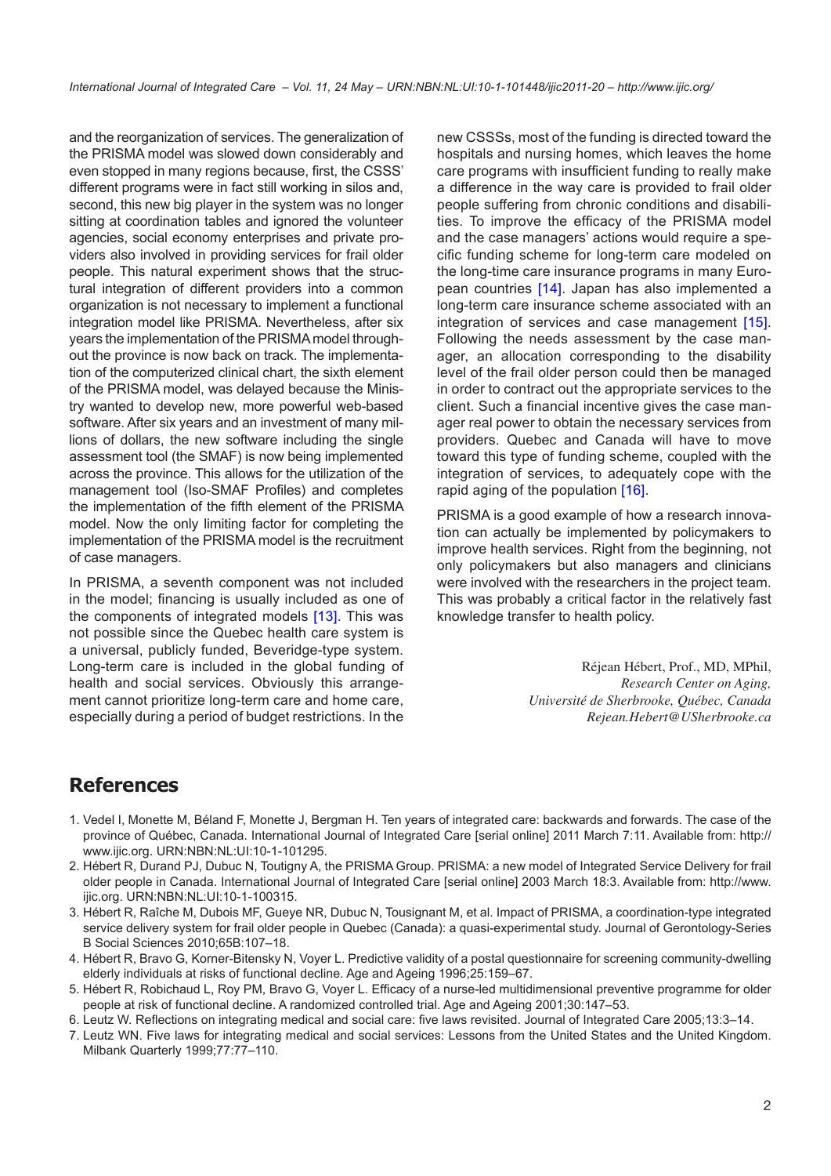<span id="page-1-0"></span>and the reorganization of services. The generalization of the PRISMA model was slowed down considerably and even stopped in many regions because, first, the CSSS' different programs were in fact still working in silos and, second, this new big player in the system was no longer sitting at coordination tables and ignored the volunteer agencies, social economy enterprises and private providers also involved in providing services for frail older people. This natural experiment shows that the structural integration of different providers into a common organization is not necessary to implement a functional integration model like PRISMA. Nevertheless, after six years the implementation of the PRISMA model throughout the province is now back on track. The implementation of the computerized clinical chart, the sixth element of the PRISMA model, was delayed because the Ministry wanted to develop new, more powerful web-based software. After six years and an investment of many millions of dollars, the new software including the single assessment tool (the SMAF) is now being implemented across the province. This allows for the utilization of the management tool (Iso-SMAF Profiles) and completes the implementation of the fifth element of the PRISMA model. Now the only limiting factor for completing the implementation of the PRISMA model is the recruitment of case managers.

In PRISMA, a seventh component was not included in the model; financing is usually included as one of the components of integrated models [[13\]](#page-2-0). This was not possible since the Quebec health care system is a universal, publicly funded, Beveridge-type system. Long-term care is included in the global funding of health and social services. Obviously this arrangement cannot prioritize long-term care and home care, especially during a period of budget restrictions. In the

new CSSSs, most of the funding is directed toward the hospitals and nursing homes, which leaves the home care programs with insufficient funding to really make a difference in the way care is provided to frail older people suffering from chronic conditions and disabilities. To improve the efficacy of the PRISMA model and the case managers' actions would require a specific funding scheme for long-term care modeled on the long-time care insurance programs in many European countries [\[14\]](#page-2-0). Japan has also implemented a long-term care insurance scheme associated with an integration of services and case management [[15](#page-2-0)]. Following the needs assessment by the case manager, an allocation corresponding to the disability level of the frail older person could then be managed in order to contract out the appropriate services to the client. Such a financial incentive gives the case manager real power to obtain the necessary services from providers. Quebec and Canada will have to move toward this type of funding scheme, coupled with the integration of services, to adequately cope with the rapid aging of the population [[1](#page-2-0)6].

PRISMA is a good example of how a research innovation can actually be implemented by policymakers to improve health services. Right from the beginning, not only policymakers but also managers and clinicians were involved with the researchers in the project team. This was probably a critical factor in the relatively fast knowledge transfer to health policy.

> Réjean Hébert, Prof., MD, MPhil, *Research Center on Aging, Université de Sherbrooke, Québec, Canada [Rejean.Hebert@USherbrooke.ca](mailto:Rejean.Hebert@USherbrooke.ca)*

## **References**

- 1. Vedel I, Monette M, Béland F, Monette J, Bergman H. Ten years of integrated care: backwards and forwards. The case of the province of Québec, Canada. International Journal of Integrated Care [serial online] 2011 March 7:11. Available from: [http://](http://www.ijic.org.) [www.ijic.org.](http://www.ijic.org.) [URN:NBN:NL:UI:10-1-101295](http://persistent-identifier.nl/?identifier=URN:NBN:NL:UI:10-1-101295).
- 2. Hébert R, Durand PJ, Dubuc N, Toutigny A, the PRISMA Group. PRISMA: a new model of Integrated Service Delivery for frail older people in Canada. International Journal of Integrated Care [serial online] 2003 March 18:3. Available from: [http://www.](http://www.ijic.org.) [ijic.org.](http://www.ijic.org.) [URN:NBN:NL:UI:10-1-100315.](http://persistent-identifier.nl/?identifier=URN:NBN:NL:UI:10-1-100315)
- 3. Hébert R, Raîche M, Dubois MF, Gueye NR, Dubuc N, Tousignant M, et al. Impact of PRISMA, a coordination-type integrated service delivery system for frail older people in Quebec (Canada): a quasi-experimental study. Journal of Gerontology-Series B Social Sciences 2010;65B:107–18.
- 4. Hébert R, Bravo G, Korner-Bitensky N, Voyer L. Predictive validity of a postal questionnaire for screening community-dwelling elderly individuals at risks of functional decline. Age and Ageing 1996;25:159–67.
- 5. Hébert R, Robichaud L, Roy PM, Bravo G, Voyer L. Efficacy of a nurse-led multidimensional preventive programme for older people at risk of functional decline. A randomized controlled trial. Age and Ageing 2001;30:147–53.
- 6. Leutz W. Reflections on integrating medical and social care: five laws revisited. Journal of Integrated Care 2005;13:3–14.
- 7. Leutz WN. Five laws for integrating medical and social services: Lessons from the United States and the United Kingdom. Milbank Quarterly 1999;77:77–110.